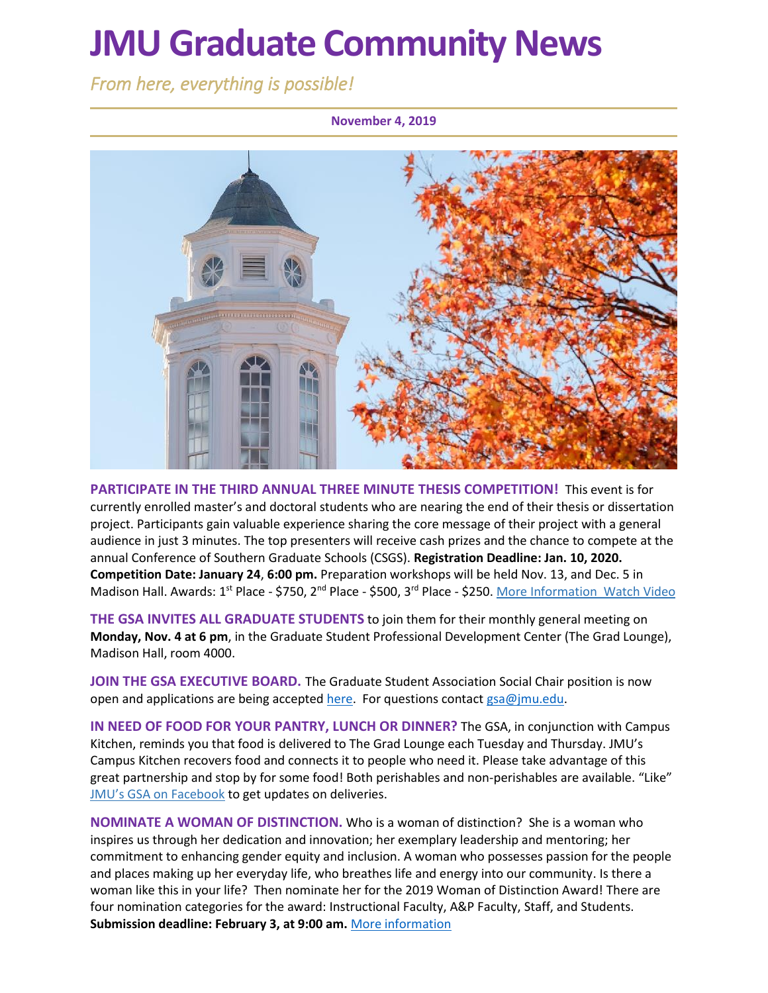# **JMU Graduate Community News**

*From here, everything is possible!* 

**November 4, 2019**



**PARTICIPATE IN THE THIRD ANNUAL THREE MINUTE THESIS COMPETITION!** This event is for currently enrolled master's and doctoral students who are nearing the end of their thesis or dissertation project. Participants gain valuable experience sharing the core message of their project with a general audience in just 3 minutes. The top presenters will receive cash prizes and the chance to compete at the annual Conference of Southern Graduate Schools (CSGS). **Registration Deadline: Jan. 10, 2020. Competition Date: January 24**, **6:00 pm.** Preparation workshops will be held Nov. 13, and Dec. 5 in Madison Hall. Awards: 1<sup>st</sup> Place - \$750, 2<sup>nd</sup> Place - \$500, 3<sup>rd</sup> Place - \$250. [More Information](https://www.jmu.edu/grad/current-students/three-minute-thesis.shtml) [Watch Video](https://www.youtube.com/watch?v=ro-EjO9kJI8&list=PL5gbai5mqVofzafXS2nOt7XRAGnK9D9ci&index=11)

**THE GSA INVITES ALL GRADUATE STUDENTS** to join them for their monthly general meeting on **Monday, Nov. 4 at 6 pm**, in the Graduate Student Professional Development Center (The Grad Lounge), Madison Hall, room 4000.

**JOIN THE GSA EXECUTIVE BOARD.** The Graduate Student Association Social Chair position is now open and applications are being accepte[d here.](https://docs.google.com/forms/d/e/1FAIpQLSfTe00SHT3n8yBvduzCyVoDG1HLuimOwSa-BPCRYS-VQ-2zHg/viewform) For questions contact [gsa@jmu.edu.](mailto:gsa@jmu.edu)

**IN NEED OF FOOD FOR YOUR PANTRY, LUNCH OR DINNER?** The GSA, in conjunction with Campus Kitchen, reminds you that food is delivered to The Grad Lounge each Tuesday and Thursday. JMU's Campus Kitchen recovers food and connects it to people who need it. Please take advantage of this great partnership and stop by for some food! Both perishables and non-perishables are available. "Like" [JMU's GSA on Facebook](https://www.facebook.com/JMUGSA/) to get updates on deliveries.

**NOMINATE A WOMAN OF DISTINCTION.** Who is a woman of distinction? She is a woman who inspires us through her dedication and innovation; her exemplary leadership and mentoring; her commitment to enhancing gender equity and inclusion. A woman who possesses passion for the people and places making up her everyday life, who breathes life and energy into our community. Is there a woman like this in your life? Then nominate her for the 2019 Woman of Distinction Award! There are four nomination categories for the award: Instructional Faculty, A&P Faculty, Staff, and Students. **Submission deadline: February 3, at 9:00 am.** [More information](https://www.jmu.edu/diversity/programs-and-events/Woman-of-Distinction-Award.shtml)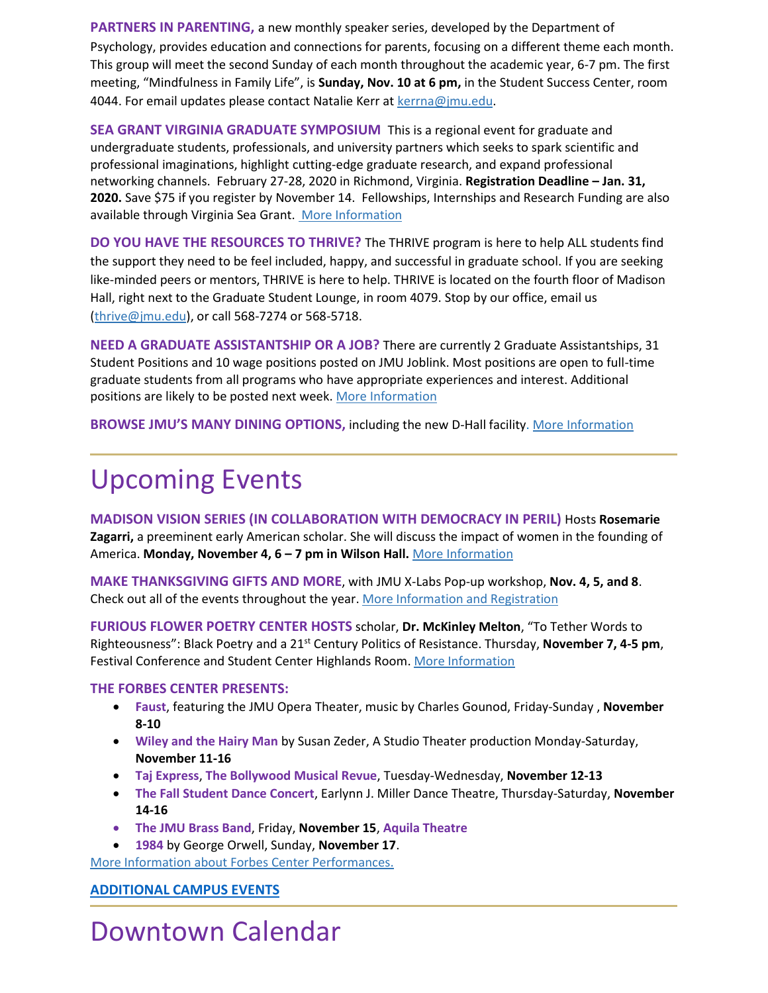**PARTNERS IN PARENTING,** a new monthly speaker series, developed by the Department of Psychology, provides education and connections for parents, focusing on a different theme each month. This group will meet the second Sunday of each month throughout the academic year, 6-7 pm. The first meeting, "Mindfulness in Family Life", is **Sunday, Nov. 10 at 6 pm,** in the Student Success Center, room 4044. For email updates please contact Natalie Kerr at [kerrna@jmu.edu.](mailto:kerrna@jmu.edu)

**SEA GRANT VIRGINIA GRADUATE SYMPOSIUM** This is a regional event for graduate and undergraduate students, professionals, and university partners which seeks to spark scientific and professional imaginations, highlight cutting-edge graduate research, and expand professional networking channels. February 27-28, 2020 in Richmond, Virginia. **Registration Deadline – Jan. 31, 2020.** Save \$75 if you register by November 14. Fellowships, Internships and Research Funding are also available through Virginia Sea Grant. [More Information](http://gradsymposium.wpengine.com/)

**DO YOU HAVE THE RESOURCES TO THRIVE?** The THRIVE program is here to help ALL students find the support they need to be feel included, happy, and successful in graduate school. If you are seeking like-minded peers or mentors, THRIVE is here to help. THRIVE is located on the fourth floor of Madison Hall, right next to the Graduate Student Lounge, in room 4079. Stop by our office, email us [\(thrive@jmu.edu\)](mailto:thrive@jmu.edu,), or call 568-7274 or 568-5718.

**NEED A GRADUATE ASSISTANTSHIP OR A JOB?** There are currently 2 Graduate Assistantships, 31 Student Positions and 10 wage positions posted on JMU Joblink. Most positions are open to full-time graduate students from all programs who have appropriate experiences and interest. Additional positions are likely to be posted next week. [More Information](https://joblink.jmu.edu/)

**BROWSE JMU'S MANY DINING OPTIONS,** including the new D-Hall facility. [More Information](https://jmu.campusdish.com/)

## Upcoming Events

**MADISON VISION SERIES (IN COLLABORATION WITH DEMOCRACY IN PERIL)** Hosts **Rosemarie Zagarri,** a preeminent early American scholar. She will discuss the impact of women in the founding of America. **Monday, November 4, 6 – 7 pm in Wilson Hall.** [More Information](https://www.jmu.edu/president/mvs/)

**MAKE THANKSGIVING GIFTS AND MORE**, with JMU X-Labs Pop-up workshop, **Nov. 4, 5, and 8**. Check out all of the events throughout the year. [More Information and Registration](https://www.eventbrite.com/o/jmu-x-labs-14972508003)

**FURIOUS FLOWER POETRY CENTER HOSTS** scholar, **Dr. McKinley Melton**, "To Tether Words to Righteousness": Black Poetry and a 21st Century Politics of Resistance. Thursday, **November 7, 4-5 pm**, Festival Conference and Student Center Highlands Room. [More Information](https://www.jmu.edu/events/furiousflower/2019/11/11-7-melton.shtml)

### **THE FORBES CENTER PRESENTS:**

- **Faust**, featuring the JMU Opera Theater, music by Charles Gounod, Friday-Sunday , **November 8-10**
- **Wiley and the Hairy Man** by Susan Zeder, A Studio Theater production Monday-Saturday, **November 11-16**
- **Taj Express**, **The Bollywood Musical Revue**, Tuesday-Wednesday, **November 12-13**
- **The Fall Student Dance Concert**, Earlynn J. Miller Dance Theatre, Thursday-Saturday, **November 14-16**
- **The JMU Brass Band**, Friday, **November 15**, **Aquila Theatre**
- **1984** by George Orwell, Sunday, **November 17**.

[More Information](https://jmuforbescenter.com/) about Forbes Center Performances.

### **[ADDITIONAL CAMPUS EVENTS](https://www.jmu.edu/events/)**

Downtown Calendar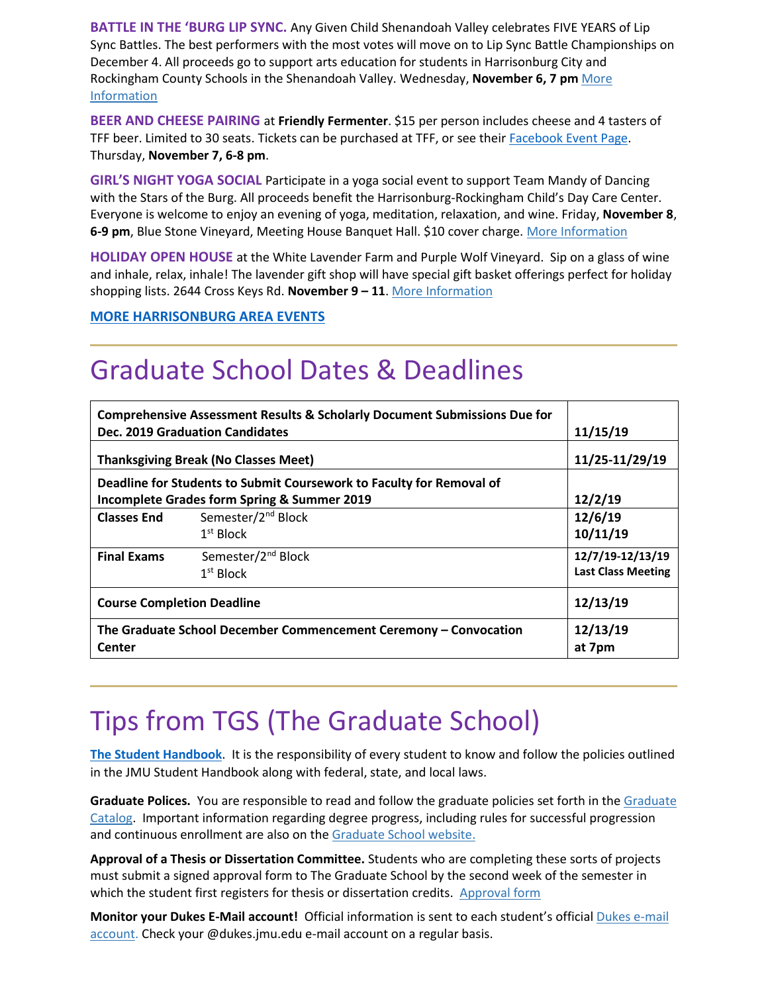**BATTLE IN THE 'BURG LIP SYNC.** Any Given Child Shenandoah Valley celebrates FIVE YEARS of Lip Sync Battles. The best performers with the most votes will move on to Lip Sync Battle Championships on December 4. All proceeds go to support arts education for students in Harrisonburg City and Rockingham County Schools in the Shenandoah Valley. Wednesday, **November 6, 7 pm** [More](https://www.valleyarts.org/performances/2019/10/29/lip-sync-battle-2019-n7h3r)  [Information](https://www.valleyarts.org/performances/2019/10/29/lip-sync-battle-2019-n7h3r)

**BEER AND CHEESE PAIRING** at **Friendly Fermenter**. \$15 per person includes cheese and 4 tasters of TFF beer. Limited to 30 seats. Tickets can be purchased at TFF, or see their [Facebook Event Page.](https://www.facebook.com/events/513279309230892/) Thursday, **November 7, 6-8 pm**.

**GIRL'S NIGHT YOGA SOCIAL** Participate in a yoga social event to support Team Mandy of Dancing with the Stars of the Burg. All proceeds benefit the Harrisonburg-Rockingham Child's Day Care Center. Everyone is welcome to enjoy an evening of yoga, meditation, relaxation, and wine. Friday, **November 8**, **6-9 pm**, Blue Stone Vineyard, Meeting House Banquet Hall. \$10 cover charge. [More Information](https://www.bluestonevineyard.com/event-calendar.html)

**HOLIDAY OPEN HOUSE** at the White Lavender Farm and Purple Wolf Vineyard. Sip on a glass of wine and inhale, relax, inhale! The lavender gift shop will have special gift basket offerings perfect for holiday shopping lists. 2644 Cross Keys Rd. **November 9 – 11**[. More Information](https://www.whiteoaklavender.com/Events/Calendar)

**[MORE HARRISONBURG AREA EVENTS](https://www.visitharrisonburgva.com/calendar-of-events/)**

## Graduate School Dates & Deadlines

| <b>Comprehensive Assessment Results &amp; Scholarly Document Submissions Due for</b> |                                |                            |                                                                      |
|--------------------------------------------------------------------------------------|--------------------------------|----------------------------|----------------------------------------------------------------------|
| Dec. 2019 Graduation Candidates<br><b>Thanksgiving Break (No Classes Meet)</b>       |                                | 11/15/19<br>11/25-11/29/19 |                                                                      |
|                                                                                      |                                |                            | Deadline for Students to Submit Coursework to Faculty for Removal of |
| Incomplete Grades form Spring & Summer 2019                                          |                                | 12/2/19                    |                                                                      |
| <b>Classes End</b>                                                                   | Semester/2 <sup>nd</sup> Block | 12/6/19                    |                                                                      |
|                                                                                      | 1 <sup>st</sup> Block          | 10/11/19                   |                                                                      |
| <b>Final Exams</b>                                                                   | Semester/2 <sup>nd</sup> Block | 12/7/19-12/13/19           |                                                                      |
|                                                                                      | 1 <sup>st</sup> Block          | <b>Last Class Meeting</b>  |                                                                      |
| <b>Course Completion Deadline</b>                                                    |                                | 12/13/19                   |                                                                      |
| The Graduate School December Commencement Ceremony - Convocation                     |                                | 12/13/19                   |                                                                      |
| <b>Center</b>                                                                        |                                | at 7pm                     |                                                                      |

# Tips from TGS (The Graduate School)

**The Student Handbook**. It is the responsibility of every student to know and follow the policies outlined in the JMU Student Handbook along with federal, state, and local laws.

**Graduate Polices.** You are responsible to read and follow the graduate policies set forth in th[e Graduate](http://jmu.edu/catalog)  [Catalog.](http://jmu.edu/catalog) Important information regarding degree progress, including rules for successful progression and continuous enrollment are also on the [Graduate School website.](http://www.jmu.edu/grad/current-students/degree-progress/beginning.shtml)

**Approval of a Thesis or Dissertation Committee.** Students who are completing these sorts of projects must submit a signed approval form to The Graduate School by the second week of the semester in which the student first registers for thesis or dissertation credits. [Approval form](https://www.jmu.edu/grad/_files/CommitteeApprovalForm2017-18.pdf)

**Monitor your Dukes E-Mail account!** Official information is sent to each student's officia[l Dukes e-mail](http://www.jmu.edu/computing/helpdesk/selfhelp/DukesEmail.shtml)  [account.](http://www.jmu.edu/computing/helpdesk/selfhelp/DukesEmail.shtml) Check your @dukes.jmu.edu e-mail account on a regular basis.